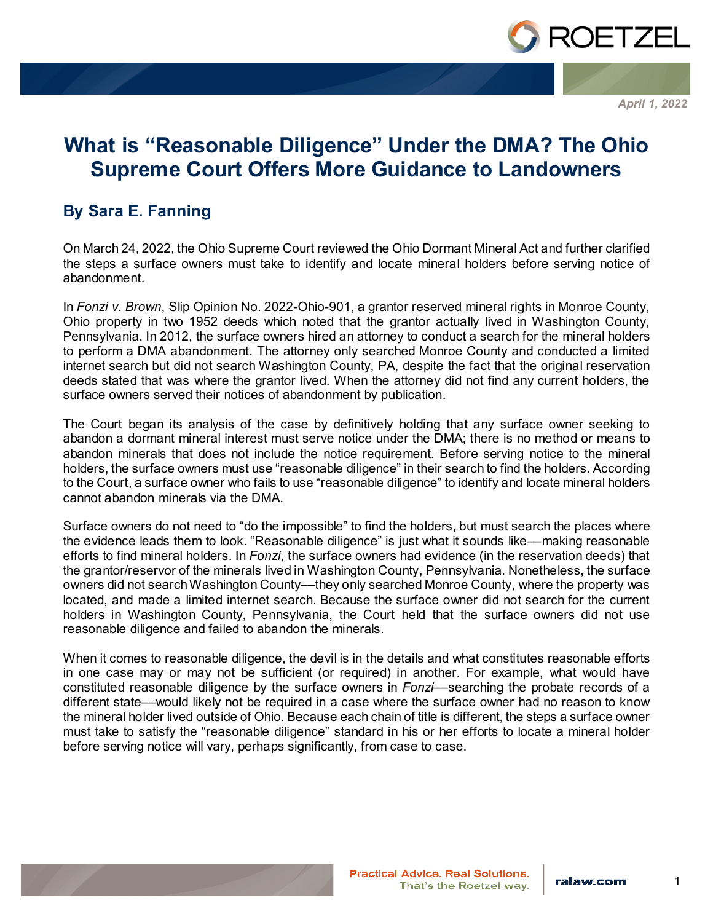

*April 1, 2022*

## **What is "Reasonable Diligence" Under the DMA? The Ohio Supreme Court Offers More Guidance to Landowners**

## **By Sara E. Fanning**

On March 24, 2022, the Ohio Supreme Court reviewed the Ohio Dormant Mineral Act and further clarified the steps a surface owners must take to identify and locate mineral holders before serving notice of abandonment.

In *Fonzi v. Brown*, Slip Opinion No. 2022-Ohio-901, a grantor reserved mineral rights in Monroe County, Ohio property in two 1952 deeds which noted that the grantor actually lived in Washington County, Pennsylvania. In 2012, the surface owners hired an attorney to conduct a search for the mineral holders to perform a DMA abandonment. The attorney only searched Monroe County and conducted a limited internet search but did not search Washington County, PA, despite the fact that the original reservation deeds stated that was where the grantor lived. When the attorney did not find any current holders, the surface owners served their notices of abandonment by publication.

The Court began its analysis of the case by definitively holding that any surface owner seeking to abandon a dormant mineral interest must serve notice under the DMA; there is no method or means to abandon minerals that does not include the notice requirement. Before serving notice to the mineral holders, the surface owners must use "reasonable diligence" in their search to find the holders. According to the Court, a surface owner who fails to use "reasonable diligence" to identify and locate mineral holders cannot abandon minerals via the DMA.

Surface owners do not need to "do the impossible" to find the holders, but must search the places where the evidence leads them to look. "Reasonable diligence" is just what it sounds like––making reasonable efforts to find mineral holders. In *Fonzi*, the surface owners had evidence (in the reservation deeds) that the grantor/reservor of the minerals lived in Washington County, Pennsylvania. Nonetheless, the surface owners did not search Washington County––they only searched Monroe County, where the property was located, and made a limited internet search. Because the surface owner did not search for the current holders in Washington County, Pennsylvania, the Court held that the surface owners did not use reasonable diligence and failed to abandon the minerals.

When it comes to reasonable diligence, the devil is in the details and what constitutes reasonable efforts in one case may or may not be sufficient (or required) in another. For example, what would have constituted reasonable diligence by the surface owners in *Fonzi*––searching the probate records of a different state––would likely not be required in a case where the surface owner had no reason to know the mineral holder lived outside of Ohio. Because each chain of title is different, the steps a surface owner must take to satisfy the "reasonable diligence" standard in his or her efforts to locate a mineral holder before serving notice will vary, perhaps significantly, from case to case.